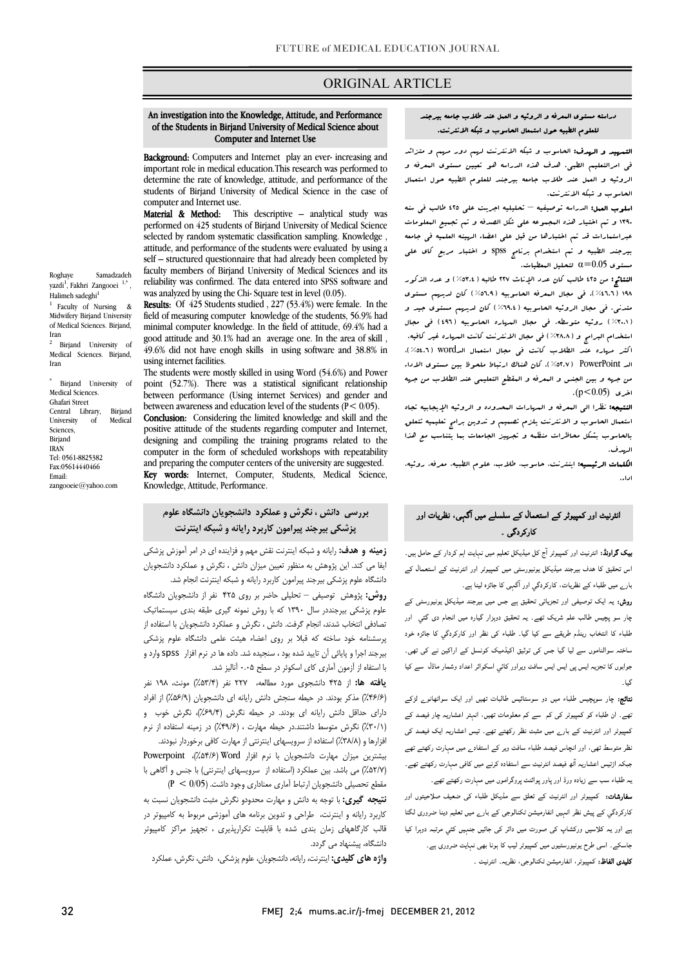# ORIGINAL ARTICLE

# An investigation into the Knowledge, Attitude, and Performance of the Students in Birjand University of Medical Science about Computer and Internet Use

ī

Background: Computers and Internet play an ever- increasing and important role in medical education.This research was performed to students of Birjand University of Medical Science in the case of determine the rate of knowledge, attitude, and performance of the computer and Internet use.<br>**Material & Method:** Th

computer and Internet use.<br>**Material & Method:** This descriptive – analytical study was performed on 425 students of Birjand University of Medical Science selected by random systematic classification sampling. Knowledge , self – structured questionnaire that had already been completed by using a faculty members of Birjand University of Medical Sciences and its was analyzed by using the Chi- Square test in level (0.05). attitude, and performance of the students were evaluated by using a reliability was confirmed. The data entered into SPSS software and

Results: Of 425 Students studied, 227 (53.4%) were female. In the minimal computer knowledge. In the field of attitude, 69.4% had a good attitude and 30.1% had an average one. In the area of skill , 49.6% did not have enogh skills in using software and 38.8% in field of measuring computer knowledge of the students, 56.9% had using internet facilities.

 The students were mostly skilled in using Word (54.6%) and Power point (52.7%). There was a statistical significant relationship between awareness and education level of the students  $(P < 0/05)$ . Conclusion: Considering the limited knowledge and skill and the designing and compiling the training programs related to the computer in the form of scheduled workshops with repeatability Key words: Internet, Computer, Students, Medical Science, between performance (Using internet Services) and gender and positive attitude of the students regarding computer and Internet, and preparing the computer centers of the university are suggested. Knowledge, Attitude, Performance.

# **پزشكي بيرجند پيرامون كاربرد رايانه و شبكه اينترنت بررسي دانش ، نگرش و عملكرد دانشجويان دانشگاه علوم**

j

 **زمينه و هدف:** رايانه و شبكه اينترنت نقش مهم و فزاينده اي در امر آموزش پزشكي ايفا مي كند. اين پژوهش به منظور تعيين ميزان دانش ، نگرش و عملكرد دانشجويان دانشگاه علوم پزشكي بيرجند پيرامون كاربرد رايانه و شبكه اينترنت انجام شد. ور ک پرر ک از دست مست به برابر برگ<br>علوم پزشكي بيرجنددر سال ۱۳۹۰ كه با روش نمونه گيري طبقه بندي سيستماتيک **روش:** پژوهش توصيفي – تحليلي حاضر بر روي 425 نفر از دانشجويان دانشگاه

 تصادفي انتخاب شدند، انجام گرفت. دانش ، نگرش و عملكرد دانشجويان با استفاده از پرسشنامه خود ساخته كه قبلا بر روي اعضاء هيئت علمي دانشگاه علوم پزشكي بيرجند اجرا و پايائي آن تاييد شده بود ، سنجيده شد. داده ها در نرم افزار spss وارد و با استفاه از آزمون آماري كاي اسكوئر در سطح 0.05 آناليز شد.

 **يافته ها:** از 425 دانشجوي مورد مطالعه، 227 نفر (%53/4) مونث، 198 نفر (%46/6) مذكر بودند. در حيطه سنجش دانش رايانه اي دانشجويان (%56/9) از افراد درسی متعمل متش ربید می بودند در حیط معرض (۴۰٬۲۰۰٬۰۰۰ درس موجد و<br>(۲۰۱۸)) نگرش متوسط داشتند.در حیطه مهارت ، (۴۹/۶)) در زمینه استفاده از نرم .<br>فزارها و (۲۸/۸٪) استفاده از سرويسهاى اينترنتي از مهارت كافي برخوردار نبودند. بيشترين ميزان مهارت دانشجويان با نرم افزار Word) %54/6(، Powerpoint داراي حداقل دانش رايانه اي بودند. در حيطه نگرش (%69/4)، نگرش خوب و

 (%52/7) مي باشد. بين عملكرد (استفاده از سرويسهاي اينترنتي) با جنس و آگاهي با مقطع تحصيلي دانشجويان ارتباط آماري معناداري وجود داشت. (0/05 > P (

 **نتيجه گيري:** با توجه به دانش و مهارت محدودو نگرش مثبت دانشجويان نسبت به كاربرد رايانه و اينترنت، طراحي و تدوين برنامه هاي آموزشي مربوط به كامپيوتر در قالب كارگاههاي زمان بندي شده با قابليت تكرارپذيري ، تجهيز مراكز كامپيوتر<br>مديقا دانشگاه، پيشنهاد مي گردد.

**واژه هاي كليدي:** اينترنت، رايانه، دانشجويان، علوم پزشكي، دانش، نگرش، عملكرد

#### Ĩ. للعلوم الطبيه حول استمعال الحاسوب و شبكه الانترنت. دراسته مستوي المعرفه و الروئيه و العمل عند طلاب جامعه بيرجند

Ī

 التمهيد و الهدف: الحاسوب و شبكه الانترنت لهم دور مهم و متزائد ی مرحدین م عبی معند شدن الله عند الله علی استعمال مستور .<br>الروئيه و العمل عند طلاب جامعه بيرجند للعلوم الطبيه حول استعمال الحاسوب و شبكه الانترنت. في امرالتعليم الطبي. هدف هذه الدراسه هو تعيين مستوي المعرفه و

 اسلوب العمل: الدراسه توصيفيه – تحليليه اجريت علي 425 طالب في سنه 1390 و تم اختيار هذه المجموعه علي شكل الصدفه و تم تجميع المعلومات عبراستمارات قد تم اختبارها من قبل علي اعضاء الهينه العلميه في جامعه بيرجند الطبيه و تم استخدام برنامج spss و اختبار مربع كاي علي ستوى 0.05 $\alpha$  لتحليل البعطيات.

 النتائج: من 425 طالب كان عدد الإناث 227 طالبه (%53.4) و عدد الذكور ع<br>۱۹۸ ( ٤٦.٦٪ ). في مجال البعرفه الحاسوبيه (٥٦.٩٪) كان لديهم مستوى متدني. في مجال الروئيه الحاسوبيه (%69.4) كان لديهم مستوي جيد و (%30.1) روئيه متوسطه. في مجال المهاره الحاسوبيه (496) في مجال استخدام البرامج و (%38.8) في مجال الانترنت كانت المهاره غير كافيه. اكثر مهاره عند الطلاب كانت في مجال استعمال الدword (5.1%)،<br>. مد جهت جهت به بين جه بين جهاز المعرفة و المقطع التعليمي عند الطلاب من جهه<br>من جهه و بين الجنس و البعرفه و البقطع التعليمي عند الطلاب من جهه اخري (0.05>p(. الد PowerPoint) %52.7(. كان هناك ارتباط ملحوظ بين مستوي الاداء

ا**لنتيجه:** نظرا ال<sub>ى</sub> البعرفه و ال<sub>مها</sub>رات البحدوده و الروئيه الإيجابيه تجاه استعمال الحاسوب و الانترنت يلزم تصميم و تدوين برامج تعليميه تتعلق بالحاسوب بشكل محاظرات منظمه و تجهيز الجامعات بما يتناسب مع هذا الهدف.

ا<mark>لمكمات الرئيسيه:</mark> اينترنت، حاسوب، طلاب، علوم الطبيه. معرفه. روئيه.<br>. اداء.

# انٹرنیٹ اور کمپیوٹر کے استعمال کے سلسلے میں آگہی، نظریات اور کارکردگي ۔

 بیک گراونڈ: انٹرنیٹ اور کمپیوٹر آج کل میڈیکل تعلیم میں نہایت اہم کردار کے حامل ہیں۔ اس تحقیق کا ھدف بیرجند میڈیکل یونیورسٹی میں کمپیوٹر اور انٹرنیٹ کے استعمال کے بارے میں طلباء کے نظریات، کارکردگي اور آگہی کا جائزہ لینا ہے۔

 روش: یہ ایک توصیفی اور تجزیاتی تحقیق ہے جس میں بیرجند میڈیکل یونیورسٹی کے چار سو پچیس طالب علم شریک تھے۔ یہ تحقیق دوہزار گيارہ میں انجام دی گئي اور طلباء کا انتخاب رینڈم طریقے سے کیا گيا۔ طلباء کی نظر اور کارکردگي کا جائزہ خود ساختہ سوالناموں سے لیا گيا جس کی توثیق اکیڈمیک کونسل کے اراکین نے کی تھی۔ جوابوں کا تجزیہ ایس پی ایس ایس سافٹ ویراور کائي اسکوائر اعداد وشمار ماڈل سے کیا گيا۔

 نتائج: چار سوپچیس طلباء میں دو سوستائيس طالبات تھیں اور ایک سواٹھانوے لڑکے تھے۔ ان طلباء کو کمپیوٹر کی کم سے کم معلومات تھیں، انہتر اعشاریہ چار فیصد کے کمپیوٹر اور انٹرنیٹ کے بارے میں مثبت نظر رکھتے تھے۔ تیس اعشاریہ ایک فیصد کی نظر متوسط تھی، اور انچاس فیصد طلباء سافٹ ویر کے استفادے میں مہارت رکھتے تھے جبکہ اڑتیس اعشاریہ آٹھ فیصد انٹرنیٹ سے استفادہ کرنے میں کافی مہارت رکھتے تھے۔ یہ طلباء سب سے زیادہ ورڈ اور پاور پوائنٹ پروگراموں میں مہارت رکھتے تھے۔

**سفارشات:** کمپیوٹر اور انٹرنیٹ کے تعلق سے مڈیکل طلباء کی ضعیف صلاحیتوں اور<br>. کارکردگي کے پیش نظر انہیں انفارمیشن ٹکنالوجی کے بارے میں تعلیم دینا ضروری لگتا ہے اور یہ کلاسیں ورکشاپ کی صورت میں دائر کی جائيں جنہيں کئي مرتبہ دوہرا کیا Í **کلیدی الفاظ:** کمپیوٹر، انفارمیشن ٹکنالوجی، نظریہ۔ انٹرنیٹ ۔<br>۔ جاسکے۔ اسی طرح یونیورسٹیوں میں کمپیوٹر لیب کا ہونا بھی نہایت ضروری ہے۔

Roghaye Samadzadeh yazdi<sup>1</sup>, Fakhri Zangooei<sup>1,\*</sup>, Halimeh sadeghi<sup>1</sup> <sup>1</sup> Faculty of Nursing & Midwifery Birjand University of Medical Sciences. Birjand, Iran

Birjand University of Medical Sciences. Birjand, Iran

\* Birjand University of Medical Sciences. Ghafari Street Central Library, Birjand University of Medical Sciences, Birjand IRAN Tel: 0561-8825382 Fax:05614440466 Email: zangooeie@yahoo.com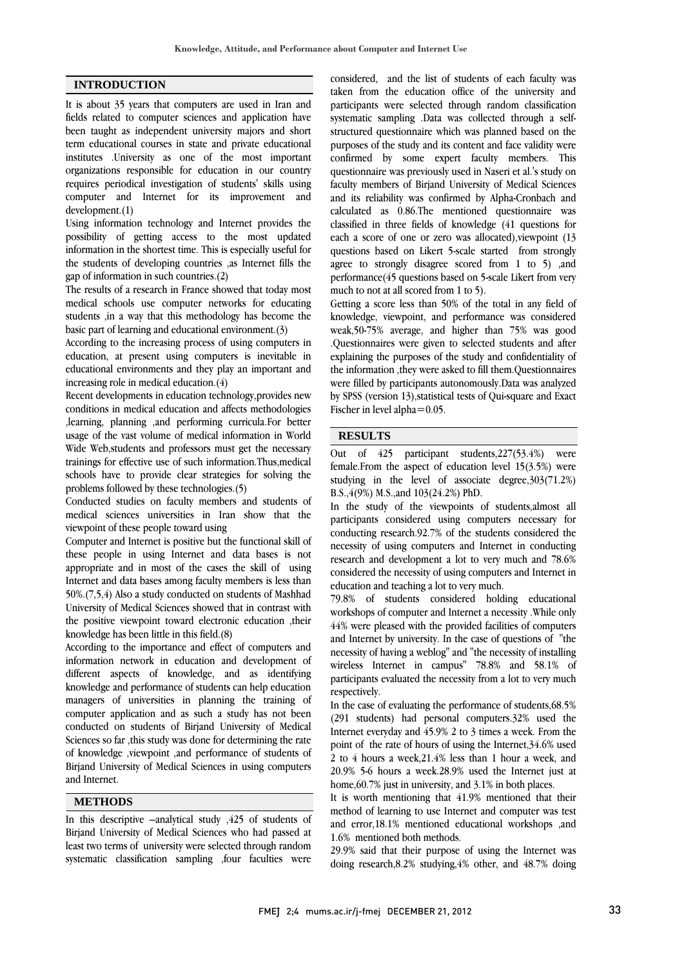### **INTRODUCTION**

It is about 35 years that computers are used in Iran and fields related to computer sciences and application have been taught as independent university majors and short term educational courses in state and private educational institutes .University as one of the most important organizations responsible for education in our country requires periodical investigation of students' skills using computer and Internet for its improvement and development.(1)

Using information technology and Internet provides the possibility of getting access to the most updated information in the shortest time. This is especially useful for the students of developing countries ,as Internet fills the gap of information in such countries.(2)

The results of a research in France showed that today most medical schools use computer networks for educating students ,in a way that this methodology has become the basic part of learning and educational environment.(3)

According to the increasing process of using computers in education, at present using computers is inevitable in educational environments and they play an important and increasing role in medical education.(4)

Recent developments in education technology,provides new conditions in medical education and affects methodologies ,learning, planning ,and performing curricula.For better usage of the vast volume of medical information in World Wide Web,students and professors must get the necessary trainings for effective use of such information.Thus,medical schools have to provide clear strategies for solving the problems followed by these technologies.(5)

Conducted studies on faculty members and students of medical sciences universities in Iran show that the viewpoint of these people toward using

Computer and Internet is positive but the functional skill of these people in using Internet and data bases is not appropriate and in most of the cases the skill of using Internet and data bases among faculty members is less than 50%.(7,5,4) Also a study conducted on students of Mashhad University of Medical Sciences showed that in contrast with the positive viewpoint toward electronic education ,their knowledge has been little in this field.(8)

According to the importance and effect of computers and information network in education and development of different aspects of knowledge, and as identifying knowledge and performance of students can help education managers of universities in planning the training of computer application and as such a study has not been conducted on students of Birjand University of Medical Sciences so far ,this study was done for determining the rate of knowledge ,viewpoint ,and performance of students of Birjand University of Medical Sciences in using computers and Internet.

### **METHODS**

In this descriptive –analytical study ,425 of students of Birjand University of Medical Sciences who had passed at least two terms of university were selected through random systematic classification sampling ,four faculties were  considered, and the list of students of each faculty was taken from the education office of the university and participants were selected through random classification systematic sampling .Data was collected through a selfpurposes of the study and its content and face validity were confirmed by some expert faculty members. This questionnaire was previously used in Naseri et al.'s study on faculty members of Birjand University of Medical Sciences calculated as 0.86.The mentioned questionnaire was classified in three fields of knowledge (41 questions for each a score of one or zero was allocated),viewpoint (13 questions based on Likert 5-scale started from strongly performance(45 questions based on 5-scale Likert from very much to not at all scored from 1 to 5). structured questionnaire which was planned based on the and its reliability was confirmed by Alpha-Cronbach and agree to strongly disagree scored from 1 to 5) ,and

 Getting a score less than 50% of the total in any field of knowledge, viewpoint, and performance was considered .Questionnaires were given to selected students and after explaining the purposes of the study and confidentiality of the information ,they were asked to fill them.Questionnaires were filled by participants autonomously.Data was analyzed Fischer in level alpha=0.05. weak,50-75% average, and higher than 75% was good by SPSS (version 13),statistical tests of Qui-square and Exact

#### **RESULTS**

 Out of 425 participant students,227(53.4%) were female.From the aspect of education level 15(3.5%) were B.S.,4(9%) M.S.,and 103(24.2%) PhD. studying in the level of associate degree,303(71.2%)

 In the study of the viewpoints of students,almost all participants considered using computers necessary for conducting research.92.7% of the students considered the recessity of daily computers and internet in conducting<br>research and development a lot to very much and 78.6% considered the necessity of using computers and Internet in education and teaching a lot to very much. necessity of using computers and Internet in conducting

 79.8% of students considered holding educational 44% were pleased with the provided facilities of computers and Internet by university. In the case of questions of "the necessity of having a weblog" and "the necessity of installing wireless Internet in campus" 78.8% and 58.1% of respectively. workshops of computer and Internet a necessity .While only participants evaluated the necessity from a lot to very much

 In the case of evaluating the performance of students,68.5% (291 students) had personal computers.32% used the Internet everyday and 45.9% 2 to 3 times a week. From the 2 to 4 hours a week,21.4% less than 1 hour a week, and 20.9% 5-6 hours a week.28.9% used the Internet just at home,60.7% just in university, and 3.1% in both places. point of the rate of hours of using the Internet,34.6% used

 It is worth mentioning that 41.9% mentioned that their and error,18.1% mentioned educational workshops ,and 1.6% mentioned both methods. method of learning to use Internet and computer was test

 29.9% said that their purpose of using the Internet was doing research,8.2% studying,4% other, and 48.7% doing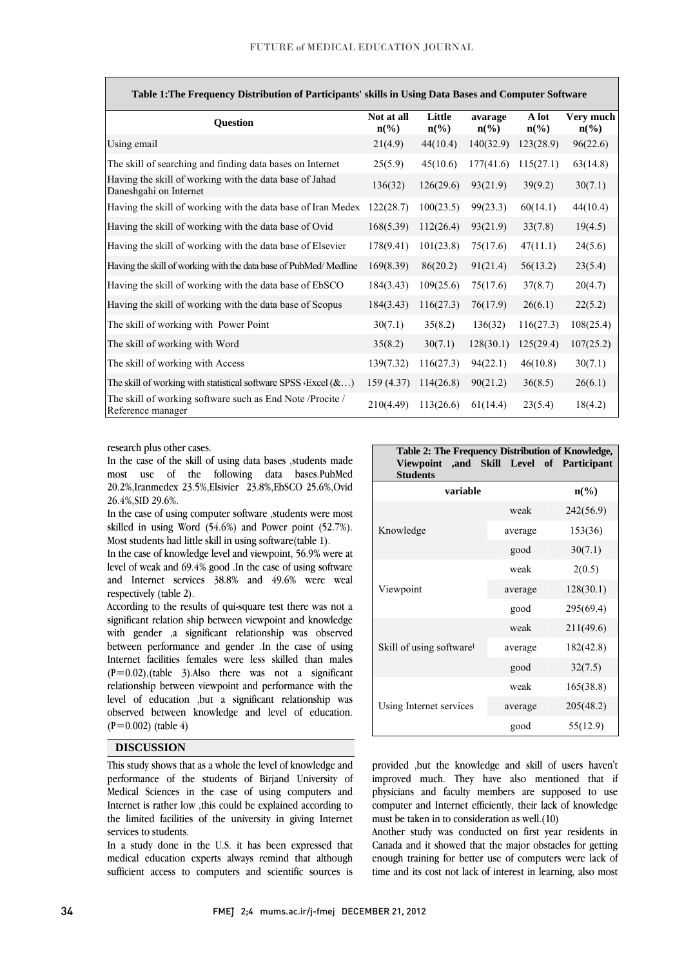| Table 1: The Frequency Distribution of Participants' skills in Using Data Bases and Computer Software |                               |                           |                            |                          |                                          |
|-------------------------------------------------------------------------------------------------------|-------------------------------|---------------------------|----------------------------|--------------------------|------------------------------------------|
| <b>Question</b>                                                                                       | Not at all<br>$n\binom{0}{0}$ | Little<br>$n\binom{0}{0}$ | avarage<br>$n\binom{0}{0}$ | A lot<br>$n\binom{0}{0}$ | Very much<br>$n\left(\frac{6}{6}\right)$ |
| Using email                                                                                           | 21(4.9)                       | 44(10.4)                  | 140(32.9)                  | 123(28.9)                | 96(22.6)                                 |
| The skill of searching and finding data bases on Internet                                             | 25(5.9)                       | 45(10.6)                  | 177(41.6)                  | 115(27.1)                | 63(14.8)                                 |
| Having the skill of working with the data base of Jahad<br>Daneshgahi on Internet                     | 136(32)                       | 126(29.6)                 | 93(21.9)                   | 39(9.2)                  | 30(7.1)                                  |
| Having the skill of working with the data base of Iran Medex                                          | 122(28.7)                     | 100(23.5)                 | 99(23.3)                   | 60(14.1)                 | 44(10.4)                                 |
| Having the skill of working with the data base of Ovid                                                | 168(5.39)                     | 112(26.4)                 | 93(21.9)                   | 33(7.8)                  | 19(4.5)                                  |
| Having the skill of working with the data base of Elsevier                                            | 178(9.41)                     | 101(23.8)                 | 75(17.6)                   | 47(11.1)                 | 24(5.6)                                  |
| Having the skill of working with the data base of PubMed/Medline                                      | 169(8.39)                     | 86(20.2)                  | 91(21.4)                   | 56(13.2)                 | 23(5.4)                                  |
| Having the skill of working with the data base of EbSCO                                               | 184(3.43)                     | 109(25.6)                 | 75(17.6)                   | 37(8.7)                  | 20(4.7)                                  |
| Having the skill of working with the data base of Scopus                                              | 184(3.43)                     | 116(27.3)                 | 76(17.9)                   | 26(6.1)                  | 22(5.2)                                  |
| The skill of working with Power Point                                                                 | 30(7.1)                       | 35(8.2)                   | 136(32)                    | 116(27.3)                | 108(25.4)                                |
| The skill of working with Word                                                                        | 35(8.2)                       | 30(7.1)                   | 128(30.1)                  | 125(29.4)                | 107(25.2)                                |
| The skill of working with Access                                                                      | 139(7.32)                     | 116(27.3)                 | 94(22.1)                   | 46(10.8)                 | 30(7.1)                                  |
| The skill of working with statistical software SPSS $\cdot$ Excel $(\&)$                              | 159 (4.37)                    | 114(26.8)                 | 90(21.2)                   | 36(8.5)                  | 26(6.1)                                  |
| The skill of working software such as End Note / Procite /<br>Reference manager                       | 210(4.49)                     | 113(26.6)                 | 61(14.4)                   | 23(5.4)                  | 18(4.2)                                  |

 $\overline{1}$ ı **Table 1:The Frequency Distribution of Participants' skills in Using Data Bases and Computer Software** 

 $\overline{\phantom{0}}$ 

research plus other cases.

 In the case of the skill of using data bases ,students made most use of the following data bases.PubMed 20.2%,Iranmedex 23.5%,Elsivier 23.8%,EbSCO 25.6%,Ovid 26.4%,SID 29.6%.

 skilled in using Word (54.6%) and Power point (52.7%). Most students had little skill in using software(table 1). In the case of using computer software ,students were most

 In the case of knowledge level and viewpoint, 56.9% were at level of weak and 69.4% good .In the case of using software and Internet services 38.8% and 49.6% were weal respectively (table 2).

 According to the results of qui-square test there was not a significant relation ship between viewpoint and knowledge with gender ,a significant relationship was observed Internet facilities females were less skilled than males  $(P=0.02)$ , (table 3). Also there was not a significant relationship between viewpoint and performance with the level of education ,but a significant relationship was observed between knowledge and level of education. between performance and gender .In the case of using  $(P=0.002)$  (table 4)

#### **DISCUSSION**

 This study shows that as a whole the level of knowledge and Medical Sciences in the case of using computers and Internet is rather low ,this could be explained according to the limited facilities of the university in giving Internet performance of the students of Birjand University of services to students.

services to students.<br>In a study done in the U.S. it has been expressed that medical education experts always remind that although sufficient access to computers and scientific sources is

| Table 2: The Frequency Distribution of Knowledge,<br>,and Skill Level of Participant<br>Viewpoint<br><b>Students</b> |         |           |  |  |
|----------------------------------------------------------------------------------------------------------------------|---------|-----------|--|--|
| variable<br>$n\left(\frac{6}{6}\right)$                                                                              |         |           |  |  |
|                                                                                                                      | weak    | 242(56.9) |  |  |
| Knowledge                                                                                                            | average | 153(36)   |  |  |
|                                                                                                                      | good    | 30(7.1)   |  |  |
| Viewpoint                                                                                                            | weak    | 2(0.5)    |  |  |
|                                                                                                                      | average | 128(30.1) |  |  |
|                                                                                                                      | good    | 295(69.4) |  |  |
| Skill of using software                                                                                              | weak    | 211(49.6) |  |  |
|                                                                                                                      | average | 182(42.8) |  |  |
|                                                                                                                      | good    | 32(7.5)   |  |  |
| Using Internet services                                                                                              | weak    | 165(38.8) |  |  |
|                                                                                                                      | average | 205(48.2) |  |  |
|                                                                                                                      | good    | 55(12.9)  |  |  |

 $\overline{a}$ 

 provided ,but the knowledge and skill of users haven't physicians and faculty members are supposed to use computer and Internet efficiently, their lack of knowledge improved much. They have also mentioned that if must be taken in to consideration as well.(10)

 Another study was conducted on first year residents in enough training for better use of computers were lack of time and its cost not lack of interest in learning, also most Canada and it showed that the major obstacles for getting

 $\overline{a}$  $\overline{a}$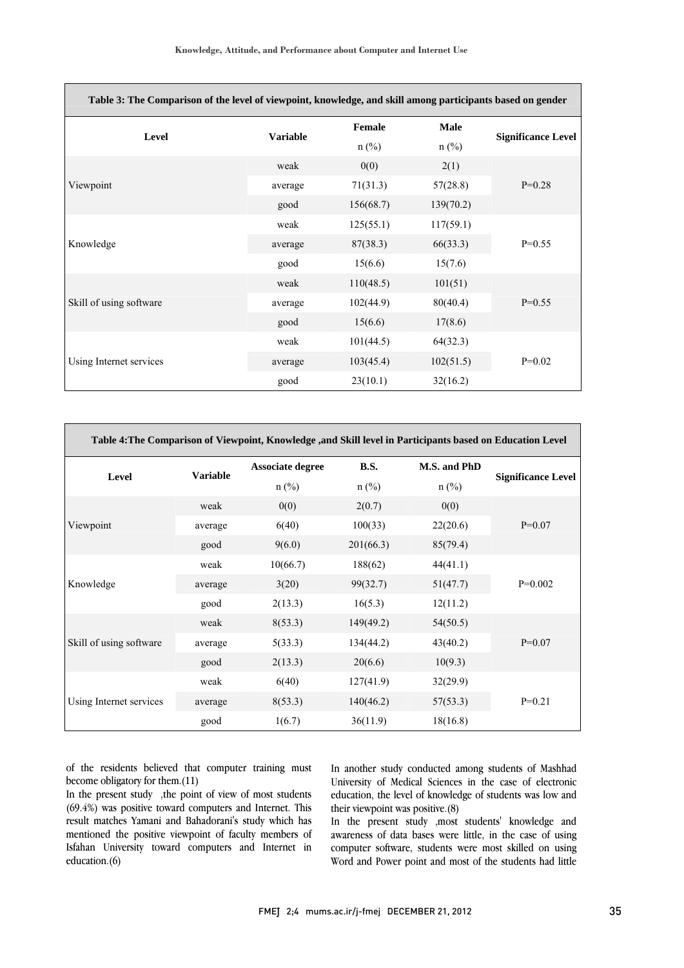| Table 3: The Comparison of the level of viewpoint, knowledge, and skill among participants based on gender |                 |           |           |                           |  |
|------------------------------------------------------------------------------------------------------------|-----------------|-----------|-----------|---------------------------|--|
| Level                                                                                                      | <b>Variable</b> | Female    | Male      |                           |  |
|                                                                                                            |                 | $n$ (%)   | $n$ (%)   | <b>Significance Level</b> |  |
| Viewpoint                                                                                                  | weak            | 0(0)      | 2(1)      |                           |  |
|                                                                                                            | average         | 71(31.3)  | 57(28.8)  | $P=0.28$                  |  |
|                                                                                                            | good            | 156(68.7) | 139(70.2) |                           |  |
|                                                                                                            | weak            | 125(55.1) | 117(59.1) |                           |  |
| Knowledge                                                                                                  | average         | 87(38.3)  | 66(33.3)  | $P=0.55$                  |  |
|                                                                                                            | good            | 15(6.6)   | 15(7.6)   |                           |  |
| Skill of using software                                                                                    | weak            | 110(48.5) | 101(51)   | $P=0.55$                  |  |
|                                                                                                            | average         | 102(44.9) | 80(40.4)  |                           |  |
|                                                                                                            | good            | 15(6.6)   | 17(8.6)   |                           |  |
| Using Internet services                                                                                    | weak            | 101(44.5) | 64(32.3)  |                           |  |
|                                                                                                            | average         | 103(45.4) | 102(51.5) | $P=0.02$                  |  |
|                                                                                                            | good            | 23(10.1)  | 32(16.2)  |                           |  |

| Table 4: The Comparison of Viewpoint, Knowledge , and Skill level in Participants based on Education Level |                 |                         |             |              |                           |
|------------------------------------------------------------------------------------------------------------|-----------------|-------------------------|-------------|--------------|---------------------------|
| Level                                                                                                      | <b>Variable</b> | <b>Associate degree</b> | <b>B.S.</b> | M.S. and PhD |                           |
|                                                                                                            |                 | $n$ (%)                 | $n$ (%)     | $n$ (%)      | <b>Significance Level</b> |
| Viewpoint                                                                                                  | weak            | 0(0)                    | 2(0.7)      | 0(0)         |                           |
|                                                                                                            | average         | 6(40)                   | 100(33)     | 22(20.6)     | $P=0.07$                  |
|                                                                                                            | good            | 9(6.0)                  | 201(66.3)   | 85(79.4)     |                           |
| Knowledge                                                                                                  | weak            | 10(66.7)                | 188(62)     | 44(41.1)     |                           |
|                                                                                                            | average         | 3(20)                   | 99(32.7)    | 51(47.7)     | $P=0.002$                 |
|                                                                                                            | good            | 2(13.3)                 | 16(5.3)     | 12(11.2)     |                           |
| Skill of using software                                                                                    | weak            | 8(53.3)                 | 149(49.2)   | 54(50.5)     |                           |
|                                                                                                            | average         | 5(33.3)                 | 134(44.2)   | 43(40.2)     | $P=0.07$                  |
|                                                                                                            | good            | 2(13.3)                 | 20(6.6)     | 10(9.3)      |                           |
| Using Internet services                                                                                    | weak            | 6(40)                   | 127(41.9)   | 32(29.9)     |                           |
|                                                                                                            | average         | 8(53.3)                 | 140(46.2)   | 57(53.3)     | $P=0.21$                  |
|                                                                                                            | good            | 1(6.7)                  | 36(11.9)    | 18(16.8)     |                           |

of the residents believed that computer training must become obligatory for them.(11)

In the present study ,the point of view of most students (69.4%) was positive toward computers and Internet. This result matches Yamani and Bahadorani's study which has mentioned the positive viewpoint of faculty members of Isfahan University toward computers and Internet in education.(6)

 In another study conducted among students of Mashhad University of Medical Sciences in the case of electronic their viewpoint was positive.(8) education, the level of knowledge of students was low and

 In the present study ,most students' knowledge and awareness of data bases were little, in the case of using computer software, students were most skilled on using Word and Power point and most of the students had little

÷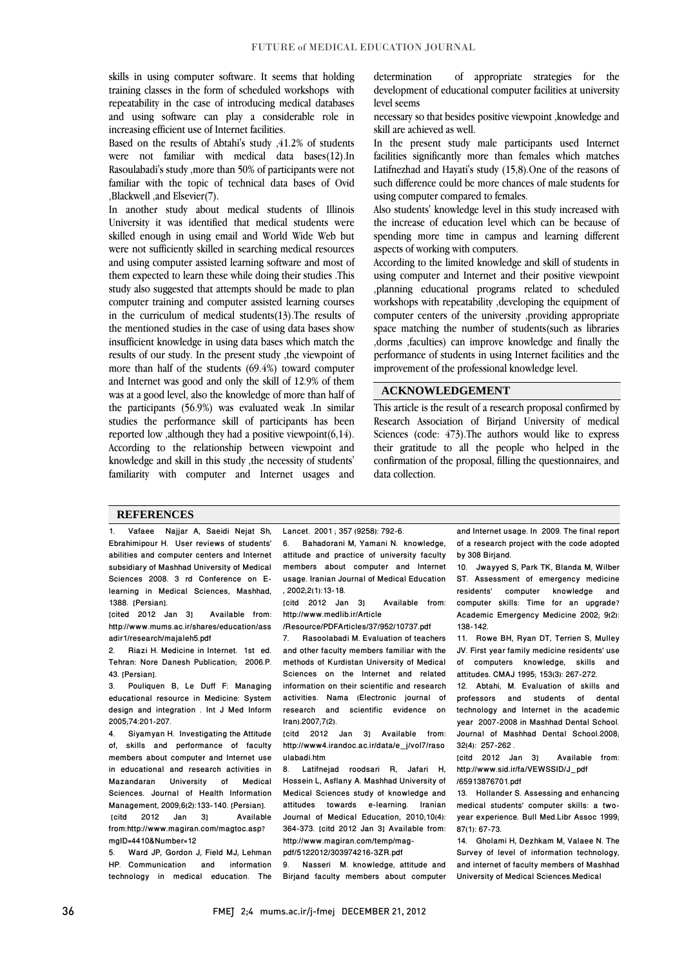skills in using computer software. It seems that holding training classes in the form of scheduled workshops with repeatability in the case of introducing medical databases and using software can play a considerable role in increasing efficient use of Internet facilities.

Based on the results of Abtahi's study ,41.2% of students were not familiar with medical data bases(12).In Rasoulabadi's study ,more than 50% of participants were not familiar with the topic of technical data bases of Ovid ,Blackwell ,and Elsevier(7).

In another study about medical students of Illinois University it was identified that medical students were skilled enough in using email and World Wide Web but were not sufficiently skilled in searching medical resources and using computer assisted learning software and most of them expected to learn these while doing their studies .This study also suggested that attempts should be made to plan computer training and computer assisted learning courses in the curriculum of medical students(13).The results of the mentioned studies in the case of using data bases show insufficient knowledge in using data bases which match the results of our study. In the present study ,the viewpoint of more than half of the students (69.4%) toward computer and Internet was good and only the skill of 12.9% of them was at a good level, also the knowledge of more than half of the participants (56.9%) was evaluated weak .In similar studies the performance skill of participants has been reported low ,although they had a positive viewpoint(6,14). According to the relationship between viewpoint and knowledge and skill in this study ,the necessity of students' familiarity with computer and Internet usages and determination of appropriate strategies for the development of educational computer facilities at university level seems

necessary so that besides positive viewpoint ,knowledge and skill are achieved as well.

In the present study male participants used Internet facilities significantly more than females which matches Latifnezhad and Hayati's study (15,8).One of the reasons of such difference could be more chances of male students for using computer compared to females.

Also students' knowledge level in this study increased with the increase of education level which can be because of spending more time in campus and learning different aspects of working with computers.

According to the limited knowledge and skill of students in using computer and Internet and their positive viewpoint ,planning educational programs related to scheduled workshops with repeatability ,developing the equipment of computer centers of the university ,providing appropriate space matching the number of students(such as libraries ,dorms ,faculties) can improve knowledge and finally the performance of students in using Internet facilities and the improvement of the professional knowledge level.

#### **ACKNOWLEDGEMENT**

This article is the result of a research proposal confirmed by Research Association of Birjand University of medical Sciences (code: 473).The authors would like to express their gratitude to all the people who helped in the confirmation of the proposal, filling the questionnaires, and data collection.

### **REFERENCES**

1. Vafaee Najjar A, Saeidi Nejat Sh, Ebrahimipour H. User reviews of students' abilities and computer centers and Internet subsidiary of Mashhad University of Medical Sciences 2008. 3 rd Conference on Elearning in Medical Sciences, Mashhad, 1388. [Persian].

[cited 2012 Jan 3] Available from: http://www.mums.ac.ir/shares/education/ass adir1/research/majaleh5.pdf

2. Riazi H. Medicine in Internet. 1st ed. Tehran: Nore Danesh Publication; 2006.P. 43. [Persian].

3. Pouliquen B, Le Duff F: Managing educational resource in Medicine: System design and integration . Int J Med Inform 2005;74:201-207.

4. Siyamyan H. Investigating the Attitude of, skills and performance of faculty members about computer and Internet use in educational and research activities in Mazandaran University of Medical Sciences. Journal of Health Information Management, 2009;6(2):133-140. [Persian]. [citd 2012 Jan 3] Available from:http://www.magiran.com/magtoc.asp? mgID=4410&Number=12

5. Ward JP, Gordon J, Field MJ, Lehman HP. Communication and information technology in medical education. The Lancet. 2001 ; 357 (9258): 792-6.

6. Bahadorani M, Yamani N. knowledge, attitude and practice of university faculty members about computer and Internet usage. Iranian Journal of Medical Education , 2002;2(1):13-18.

[citd 2012 Jan 3] Available from: http://www.medlib.ir/Article

/Resource/PDFArticles/37/952/10737.pdf

7. Rasoolabadi M. Evaluation of teachers and other faculty members familiar with the methods of Kurdistan University of Medical Sciences on the Internet and related information on their scientific and research activities. Nama (Electronic journal of research and scientific evidence on Iran).2007;7(2).

[citd 2012 Jan 3] Available from: http://www4.irandoc.ac.ir/data/e\_j/vol7/raso ulabadi.htm

8. Latifnejad roodsari R, Jafari H, Hossein L, Asflany A. Mashhad University of Medical Sciences study of knowledge and attitudes towards e-learning. Iranian Journal of Medical Education, 2010;10(4): 364-373. [citd 2012 Jan 3] Available from: http://www.magiran.com/temp/magpdf/5122012/303974216-3ZR.pdf

9. Nasseri M. knowledge, attitude and Birjand faculty members about computer

and Internet usage. In 2009. The final report of a research project with the code adopted by 308 Birjand.

10. Jwayyed S, Park TK, Blanda M, Wilber ST. Assessment of emergency medicine residents' computer knowledge and computer skills: Time for an upgrade? Academic Emergency Medicine 2002; 9(2): 138-142.

11. Rowe BH, Ryan DT, Terrien S, Mulley JV. First year family medicine residents' use of computers knowledge, skills and attitudes. CMAJ 1995; 153(3): 267-272.

12. Abtahi, M. Evaluation of skills and professors and students of dental technology and Internet in the academic year 2007-2008 in Mashhad Dental School. Journal of Mashhad Dental School.2008;  $32(4)$ : 257-262

[citd 2012 Jan 3] Available from: http://www.sid.ir/fa/VEWSSID/J\_pdf /65913876701.pdf

13. Hollander S. Assessing and enhancing medical students' computer skills: a twoyear experience. Bull Med.Libr Assoc 1999; 87(1): 67-73.

14. Gholami H, Dezhkam M, Valaee N. The Survey of level of information technology, and internet of faculty members of Mashhad University of Medical Sciences.Medical